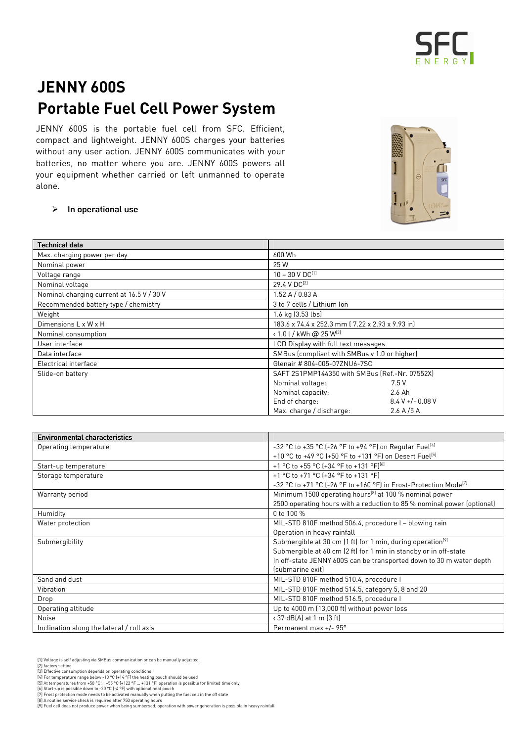

## JENNY 600S Portable Fuel Cell Power System

JENNY 600S is the portable fuel cell from SFC. Efficient, compact and lightweight. JENNY 600S charges your batteries without any user action. JENNY 600S communicates with your batteries, no matter where you are. JENNY 600S powers all your equipment whether carried or left unmanned to operate alone.



## $\triangleright$  In operational use

| <b>Technical data</b>                     |                                                  |  |  |
|-------------------------------------------|--------------------------------------------------|--|--|
| Max. charging power per day               | 600 Wh                                           |  |  |
| Nominal power                             | 25 W                                             |  |  |
| Voltage range                             | $10 - 30 V D C^{[1]}$                            |  |  |
| Nominal voltage                           | 29.4 V DC <sup>[2]</sup>                         |  |  |
| Nominal charging current at 16.5 V / 30 V | 1.52 A / 0.83 A                                  |  |  |
| Recommended battery type / chemistry      | 3 to 7 cells / Lithium Ion                       |  |  |
| Weight                                    | 1.6 kg (3.53 lbs)                                |  |  |
| Dimensions L x W x H                      | 183.6 x 74.4 x 252.3 mm [ 7.22 x 2.93 x 9.93 in] |  |  |
| Nominal consumption                       | $\cdot$ 1.0 l / kWh @ 25 W <sup>[3]</sup>        |  |  |
| User interface                            | LCD Display with full text messages              |  |  |
| Data interface                            | SMBus (compliant with SMBus v 1.0 or higher)     |  |  |
| Electrical interface                      | Glenair #804-005-07ZNU6-7SC                      |  |  |
| Slide-on battery                          | SAFT 2S1PMP144350 with SMBus (Ref.-Nr. 07552X)   |  |  |
|                                           | 7.5 V<br>Nominal voltage:                        |  |  |
|                                           | Nominal capacity:<br>2.6 Ah                      |  |  |
|                                           | End of charge:<br>$8.4 V +/- 0.08 V$             |  |  |
|                                           | Max. charge / discharge:<br>2.6 A / 5 A          |  |  |

| <b>Environmental characteristics</b>      |                                                                              |
|-------------------------------------------|------------------------------------------------------------------------------|
| Operating temperature                     | -32 °C to +35 °C (-26 °F to +94 °F) on Regular Fuel <sup>[4]</sup>           |
|                                           | +10 °C to +49 °C (+50 °F to +131 °F) on Desert Fuel <sup>[5]</sup>           |
| Start-up temperature                      | +1 °C to +55 °C (+34 °F to +131 °F) <sup>[6]</sup>                           |
| Storage temperature                       | +1 °C to +71 °C (+34 °F to +131 °F)                                          |
|                                           | -32 °C to +71 °C (-26 °F to +160 °F) in Frost-Protection Mode <sup>[7]</sup> |
| Warranty period                           | Minimum 1500 operating hours <sup>[8]</sup> at 100 % nominal power           |
|                                           | 2500 operating hours with a reduction to 85 % nominal power (optional)       |
| Humidity                                  | 0 to 100 %                                                                   |
| Water protection                          | MIL-STD 810F method 506.4, procedure I - blowing rain                        |
|                                           | Operation in heavy rainfall                                                  |
| Submergibility                            | Submergible at 30 cm (1 ft) for 1 min, during operation <sup>[9]</sup>       |
|                                           | Submergible at 60 cm (2 ft) for 1 min in standby or in off-state             |
|                                           | In off-state JENNY 600S can be transported down to 30 m water depth          |
|                                           | (submarine exit)                                                             |
| Sand and dust                             | MIL-STD 810F method 510.4, procedure I                                       |
| Vibration                                 | MIL-STD 810F method 514.5, category 5, 8 and 20                              |
| Drop                                      | MIL-STD 810F method 516.5, procedure I                                       |
| Operating altitude                        | Up to 4000 m (13,000 ft) without power loss                                  |
| <b>Noise</b>                              | $\cdot$ 37 dB(A) at 1 m (3 ft)                                               |
| Inclination along the lateral / roll axis | Permanent max +/- 95°                                                        |

- 
- 
- [1] Voltage is self adjusting via SMBus communication or can be manually adjusted<br>[2] factory setting<br>[3] Effective consumption depends on operating conditions<br>[4] For temperature range below -10 °C (+14 °F) the heating po
- 
- 
- [7] Frost protection mode needs to be activated manually when putting the fuel cell in the off state<br>[8] A routine service check is required after 750 operating hours<br>[9] Fuel cell does not produce power when being sumbers
-